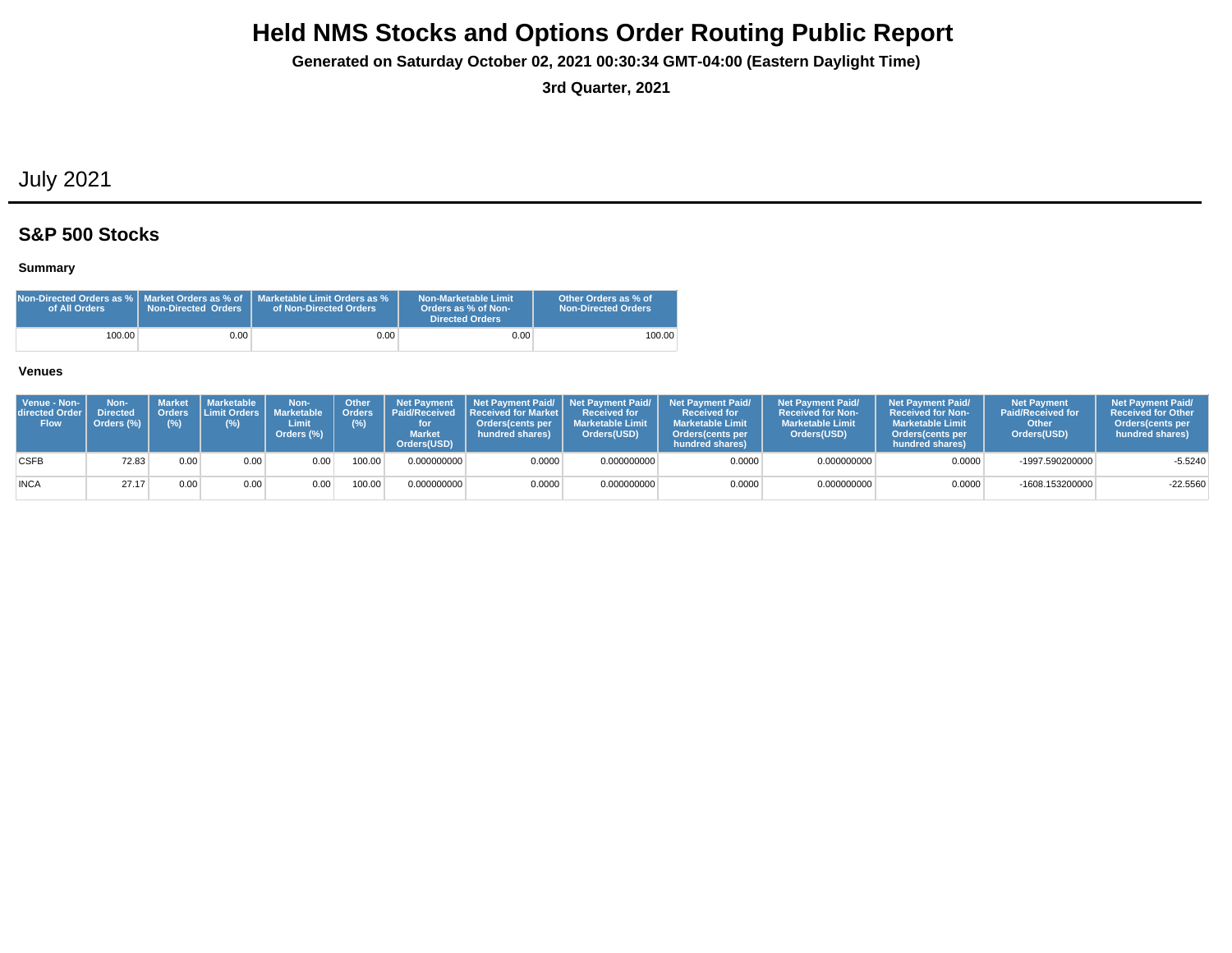**Generated on Saturday October 02, 2021 00:30:34 GMT-04:00 (Eastern Daylight Time)**

**3rd Quarter, 2021**

## July 2021

### **S&P 500 Stocks**

### **Summary**

| Non-Directed Orders as %   Market Orders as % of<br>of All Orders | <b>Non-Directed Orders</b> | Marketable Limit Orders as %<br>of Non-Directed Orders | Non-Marketable Limit<br>Orders as % of Non-<br>Directed Orders | Other Orders as % of<br><b>Non-Directed Orders</b> |
|-------------------------------------------------------------------|----------------------------|--------------------------------------------------------|----------------------------------------------------------------|----------------------------------------------------|
| 100.00                                                            | 9.00 <sub>1</sub>          | $0.00\,$                                               | 0.00                                                           | 100.00                                             |

| Venue - Non-<br>directed Order<br><b>Flow</b> | Non-<br><b>Directed</b><br>Orders (%) | Market<br>(%) | l Marketable <b>\</b><br>(%) | Non-<br>Orders Limit Orders   Marketable<br>Limit<br>Orders (%) | <b>Other</b><br><b>Orders</b><br>(%) | for<br><b>Market</b><br>Orders(USD) | Net Payment   Net Payment Paid/   Net Payment Paid/  <br>Paid/Received Received for Market I<br>Orders(cents per<br>hundred shares) | <b>Received for</b><br><b>Marketable Limit</b><br>Orders(USD) | <b>Net Payment Paid/</b><br><b>Received for</b><br><b>Marketable Limit</b><br><b>Orders</b> (cents per<br>hundred shares) | <b>Net Payment Paid/</b><br><b>Received for Non-</b><br><b>Marketable Limit</b><br>Orders(USD) | <b>Net Payment Paid/</b><br><b>Received for Non-</b><br><b>Marketable Limit</b><br>Orders (cents per<br>hundred shares) | <b>Net Payment</b><br><b>Paid/Received for</b><br>Other<br>Orders(USD) | <b>Net Payment Paid/</b><br><b>Received for Other</b><br><b>Orders</b> (cents per<br>hundred shares) |
|-----------------------------------------------|---------------------------------------|---------------|------------------------------|-----------------------------------------------------------------|--------------------------------------|-------------------------------------|-------------------------------------------------------------------------------------------------------------------------------------|---------------------------------------------------------------|---------------------------------------------------------------------------------------------------------------------------|------------------------------------------------------------------------------------------------|-------------------------------------------------------------------------------------------------------------------------|------------------------------------------------------------------------|------------------------------------------------------------------------------------------------------|
| <b>CSFB</b>                                   | 72.83                                 | 0.00          | 0.00                         | 0.00                                                            | 100.00                               | 0.000000000                         | 0.0000                                                                                                                              | 0.000000000                                                   | 0.0000                                                                                                                    | 0.000000000                                                                                    | 0.0000                                                                                                                  | -1997.590200000                                                        | $-5.5240$                                                                                            |
| <b>INCA</b>                                   | 27.17                                 | 0.00          | 0.00                         | 0.00                                                            | 100.00                               | 0.000000000                         | 0.0000                                                                                                                              | 0.000000000                                                   | 0.0000                                                                                                                    | 0.000000000                                                                                    | 0.0000                                                                                                                  | -1608.153200000                                                        | $-22.5560$                                                                                           |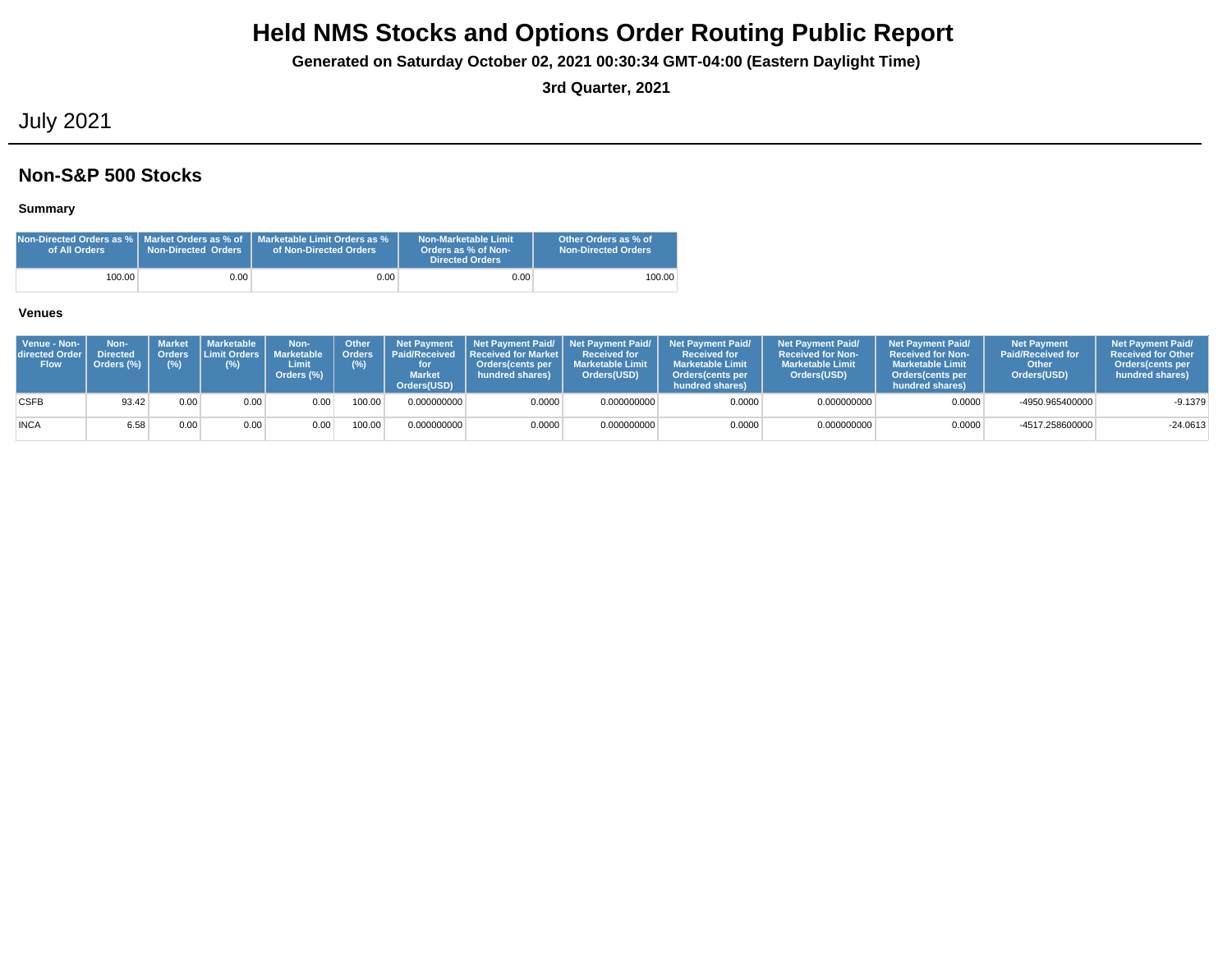**Generated on Saturday October 02, 2021 00:30:34 GMT-04:00 (Eastern Daylight Time)**

**3rd Quarter, 2021**

## July 2021

### **Non-S&P 500 Stocks**

### **Summary**

| of All Orders | <b>Non-Directed Orders</b> | Non-Directed Orders as %   Market Orders as % of   Marketable Limit Orders as %<br>of Non-Directed Orders | <b>Non-Marketable Limit</b><br>Orders as % of Non-<br><b>Directed Orders</b> | Other Orders as % of<br><b>Non-Directed Orders</b> |
|---------------|----------------------------|-----------------------------------------------------------------------------------------------------------|------------------------------------------------------------------------------|----------------------------------------------------|
| 100.00        | 0.00                       | $0.00\,$                                                                                                  | 0.00                                                                         | 100.00                                             |

| Venue - Non-<br>directed Order I<br><b>Flow</b> | Non-<br><b>Directed</b><br>Orders (%) | Orders<br>$(\%)$ | Market   Marketable<br><b>Limit Orders</b><br>$(\%)$ | Non-<br>Marketable<br>Limit<br>Orders (%) | <b>Other</b><br><b>Orders</b><br>(%) | <b>Net Pavment</b><br><b>Market</b><br>Orders(USD) | Paid/Received Received for Market L<br>Orders(cents per<br>hundred shares) | <b>Received for</b><br><b>Marketable Limit</b><br>Orders(USD) | Net Payment Paid/ Net Payment Paid/ Net Payment Paid/<br><b>Received for</b><br><b>Marketable Limit</b><br><b>Orders</b> (cents per<br>hundred shares) | <b>Net Payment Paid/</b><br><b>Received for Non-</b><br><b>Marketable Limit</b><br>Orders(USD) | <b>Net Payment Paid/</b><br><b>Received for Non-</b><br><b>Marketable Limit</b><br>Orders(cents per<br>hundred shares) | <b>Net Payment</b><br><b>Paid/Received for</b><br>Other<br>Orders(USD) | <b>Net Payment Paid/</b><br><b>Received for Other</b><br>Orders (cents per<br>hundred shares) |
|-------------------------------------------------|---------------------------------------|------------------|------------------------------------------------------|-------------------------------------------|--------------------------------------|----------------------------------------------------|----------------------------------------------------------------------------|---------------------------------------------------------------|--------------------------------------------------------------------------------------------------------------------------------------------------------|------------------------------------------------------------------------------------------------|------------------------------------------------------------------------------------------------------------------------|------------------------------------------------------------------------|-----------------------------------------------------------------------------------------------|
| <b>CSFB</b>                                     | 93.42                                 | 0.00             | 0.00                                                 | 0.00                                      | 100.00                               | 0.000000000                                        | 0.0000                                                                     | 0.000000000                                                   | 0.0000                                                                                                                                                 | 0.000000000                                                                                    | 0.0000                                                                                                                 | -4950.965400000                                                        | $-9.1379$                                                                                     |
| <b>INCA</b>                                     | 6.58                                  | 0.00             | 0.00                                                 | 0.00                                      | 100.00                               | 0.000000000                                        | 0.0000                                                                     | 0.000000000                                                   | 0.0000                                                                                                                                                 | 0.000000000                                                                                    | 0.0000                                                                                                                 | -4517.258600000                                                        | $-24.0613$                                                                                    |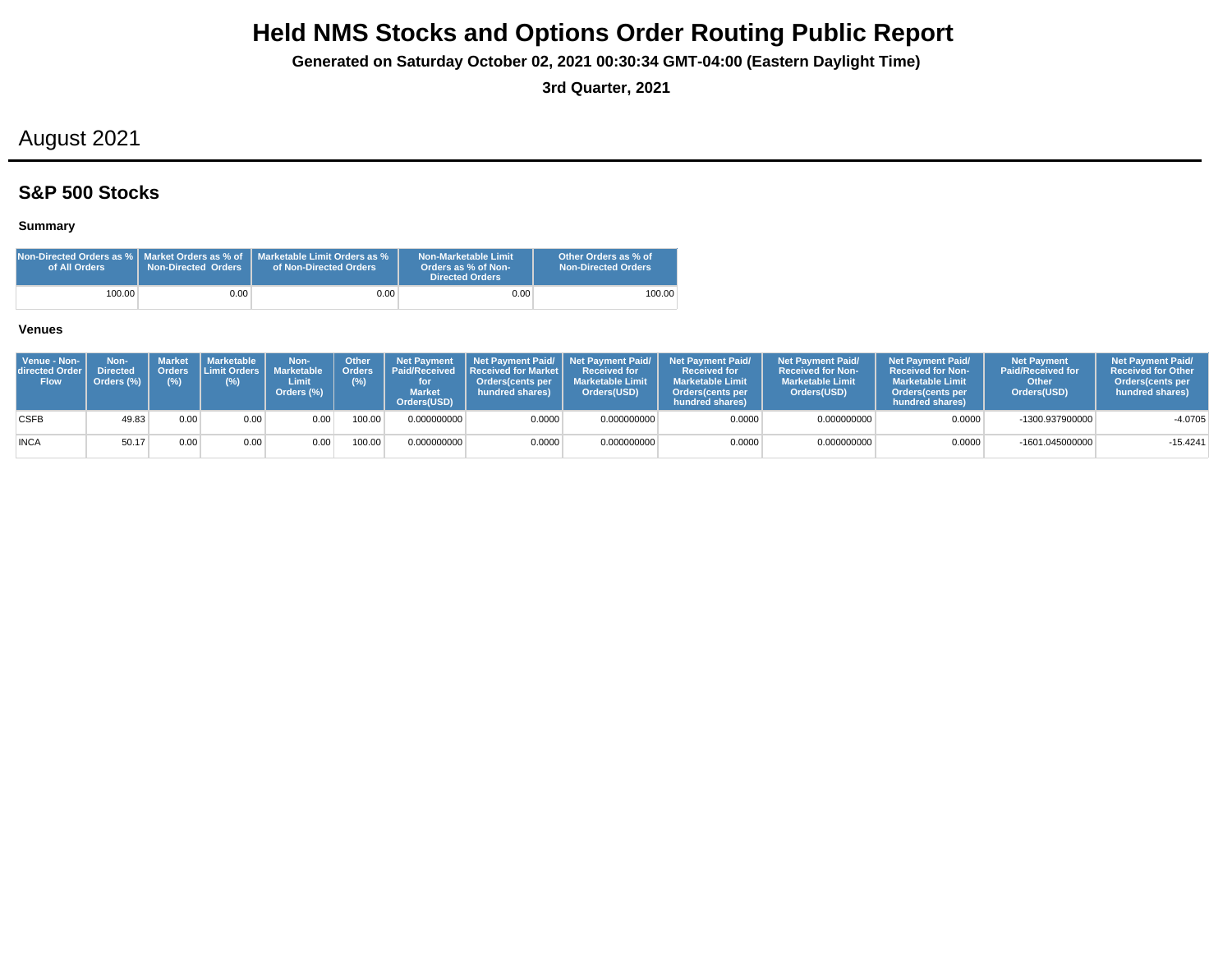**Generated on Saturday October 02, 2021 00:30:34 GMT-04:00 (Eastern Daylight Time)**

**3rd Quarter, 2021**

## August 2021

## **S&P 500 Stocks**

### **Summary**

| Non-Directed Orders as %   Market Orders as % of<br>of All Orders | Non-Directed Orders | Marketable Limit Orders as %<br>of Non-Directed Orders | Non-Marketable Limit<br>Orders as % of Non-<br><b>Directed Orders</b> | Other Orders as % of<br><b>Non-Directed Orders</b> |
|-------------------------------------------------------------------|---------------------|--------------------------------------------------------|-----------------------------------------------------------------------|----------------------------------------------------|
| 100.00                                                            | 0.001               | 0.001                                                  | 0.00                                                                  | 100.00                                             |

| Venue - Non-<br>directed Order I<br><b>Flow</b> | Non-<br><b>Directed</b><br>Orders (%) | <b>Orders</b><br>(%) | Market   Marketable<br><b>Limit Orders I</b><br>(%) | Non-<br>Marketable<br>Limit<br>Orders (%) | <b>Other</b> | <b>Net Pavment</b><br>Orders Paid/Received<br><b>Market</b><br>Orders(USD) | <b>Received for Market L</b><br>Orders(cents per<br>hundred shares) | <b>Received for</b><br><b>I</b> Marketable Limit<br>Orders(USD) | Net Payment Paid/ Net Payment Paid/ Net Payment Paid/<br><b>Received for</b><br><b>Marketable Limit</b><br>Orders(cents per<br>hundred shares) | <b>Net Payment Paid/</b><br><b>Received for Non-</b><br><b>Marketable Limit</b><br>Orders(USD) | <b>Net Payment Paid/</b><br><b>Received for Non-</b><br><b>Marketable Limit</b><br><b>Orders</b> (cents per<br>hundred shares) | <b>Net Payment</b><br><b>Paid/Received for</b><br>Other<br>Orders(USD) | <b>Net Payment Paid/</b><br><b>Received for Other</b><br><b>Orders</b> (cents per<br>hundred shares) |
|-------------------------------------------------|---------------------------------------|----------------------|-----------------------------------------------------|-------------------------------------------|--------------|----------------------------------------------------------------------------|---------------------------------------------------------------------|-----------------------------------------------------------------|------------------------------------------------------------------------------------------------------------------------------------------------|------------------------------------------------------------------------------------------------|--------------------------------------------------------------------------------------------------------------------------------|------------------------------------------------------------------------|------------------------------------------------------------------------------------------------------|
| <b>CSFB</b>                                     | 49.83                                 | 0.00                 | 0.00                                                | 0.00                                      | 00.00        | 0.000000000                                                                | 0.0000                                                              | 0.000000000                                                     | 0.0000                                                                                                                                         | 0.000000000                                                                                    | 0.0000                                                                                                                         | -1300.937900000                                                        | $-4.0705$                                                                                            |
| <b>INCA</b>                                     | 50.17                                 | 0.00                 | 0.00                                                | 0.00 <sub>1</sub>                         | 100.00       | 0.000000000                                                                | 0.0000                                                              | 0.000000000                                                     | 0.0000                                                                                                                                         | 0.000000000                                                                                    | 0.0000                                                                                                                         | $-1601.045000000$                                                      | $-15.4241$                                                                                           |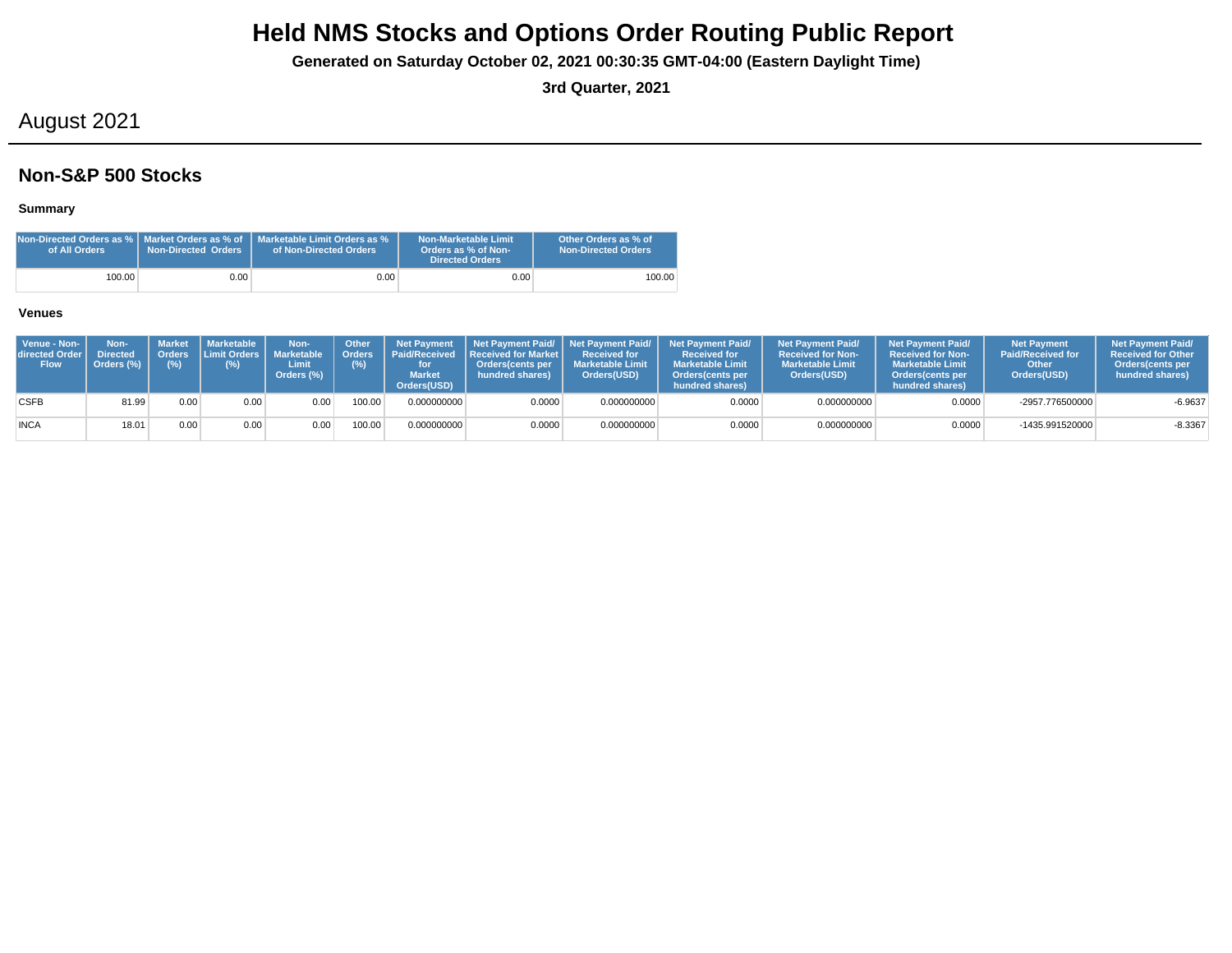**Generated on Saturday October 02, 2021 00:30:35 GMT-04:00 (Eastern Daylight Time)**

**3rd Quarter, 2021**

## August 2021

### **Non-S&P 500 Stocks**

### **Summary**

| of All Orders | <b>Non-Directed Orders</b> | Non-Directed Orders as %   Market Orders as % of   Marketable Limit Orders as %<br>of Non-Directed Orders | Non-Marketable Limit<br>Orders as % of Non-<br><b>Directed Orders</b> | Other Orders as % of<br><b>Non-Directed Orders</b> |
|---------------|----------------------------|-----------------------------------------------------------------------------------------------------------|-----------------------------------------------------------------------|----------------------------------------------------|
| 100.00        | 0.00                       | 0.00 <sub>1</sub>                                                                                         | 0.00                                                                  | 100.00                                             |

| Venue - Non-<br>directed Order I<br><b>Flow</b> | Non-<br><b>Directed</b><br>Orders (%) | (%)  | ' Market I Marketable<br>Orders Limit Orders   Marketable<br>(%) | Non-<br>Limit<br>Orders (%) | Other<br>Crders <sup>1</sup><br>(%) | <b>Net Payment</b><br><b>Market</b><br>Orders(USD) | <b>Paid/Received Received for Market L</b><br>Orders(cents per<br>hundred shares) | <b>Received for</b><br><b>Marketable Limit</b><br>Orders(USD) | Net Payment Paid/ Net Payment Paid/ Net Payment Paid/<br><b>Received for</b><br><b>Marketable Limit</b><br>Orders (cents per<br>hundred shares) | <b>Net Payment Paid/</b><br><b>Received for Non-</b><br><b>Marketable Limit</b><br>Orders(USD) | <b>Net Payment Paid/</b><br><b>Received for Non-</b><br><b>Marketable Limit</b><br>Orders(cents per<br>hundred shares) | <b>Net Payment</b><br><b>Paid/Received for</b><br>Other<br>Orders(USD) | <b>Net Payment Paid/</b><br><b>Received for Other</b><br><b>Orders</b> (cents per<br>hundred shares) |
|-------------------------------------------------|---------------------------------------|------|------------------------------------------------------------------|-----------------------------|-------------------------------------|----------------------------------------------------|-----------------------------------------------------------------------------------|---------------------------------------------------------------|-------------------------------------------------------------------------------------------------------------------------------------------------|------------------------------------------------------------------------------------------------|------------------------------------------------------------------------------------------------------------------------|------------------------------------------------------------------------|------------------------------------------------------------------------------------------------------|
| <b>CSFB</b>                                     | 81.99                                 | 0.00 | 0.00                                                             | 0.00                        | 100.00                              | 0.000000000                                        | 0.0000                                                                            | 0.000000000                                                   | 0.0000                                                                                                                                          | 0.000000000                                                                                    | 0.0000                                                                                                                 | -2957.776500000                                                        | $-6.9637$                                                                                            |
| <b>INCA</b>                                     | 18.01                                 | 0.00 | 0.00                                                             | 0.00                        | 100.00                              | 0.000000000                                        | 0.0000                                                                            | 0.000000000                                                   | 0.0000                                                                                                                                          | 0.000000000                                                                                    | 0.0000                                                                                                                 | -1435.991520000                                                        | $-8.3367$                                                                                            |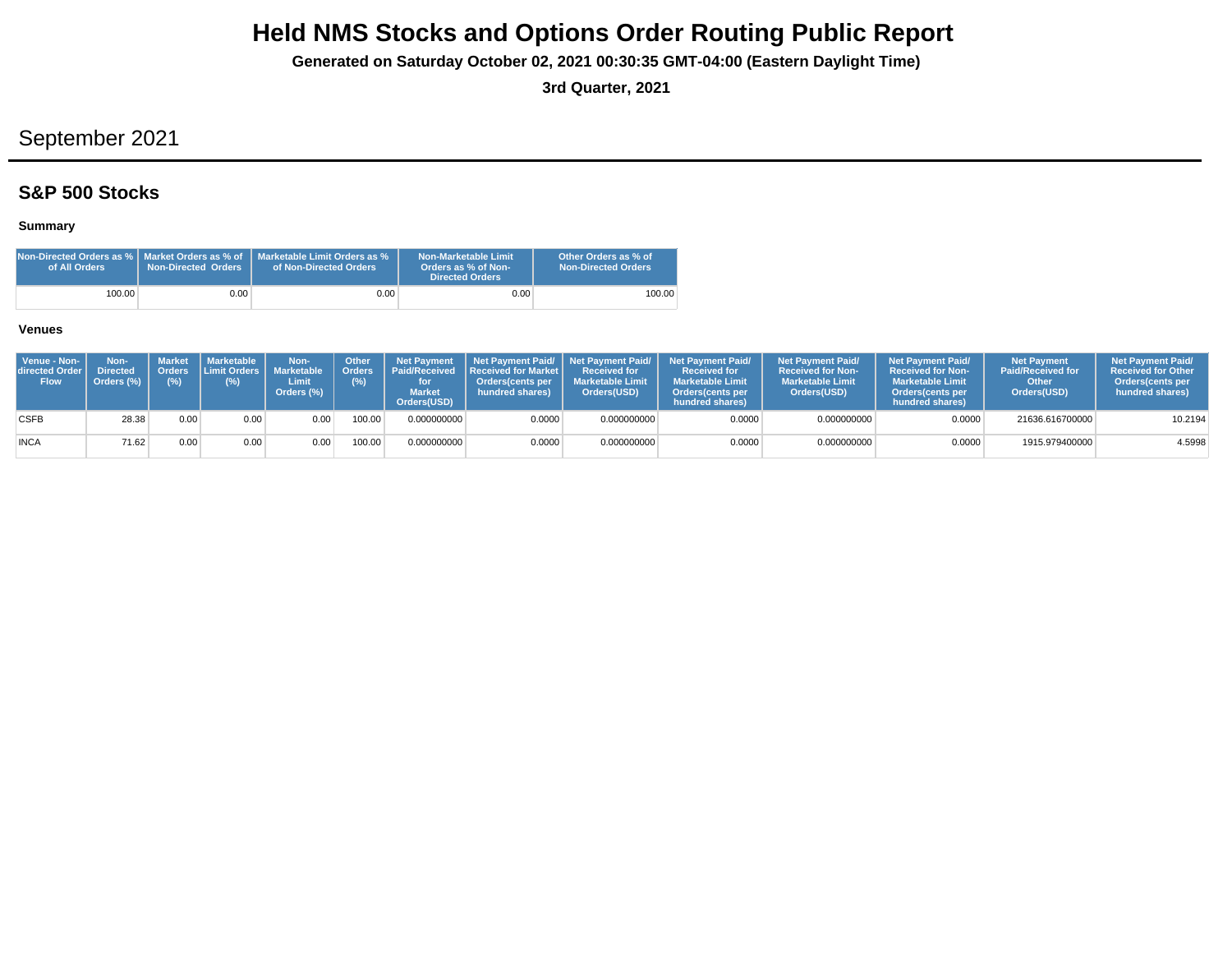**Generated on Saturday October 02, 2021 00:30:35 GMT-04:00 (Eastern Daylight Time)**

**3rd Quarter, 2021**

# September 2021

## **S&P 500 Stocks**

### **Summary**

| Non-Directed Orders as %   Market Orders as % of<br>of All Orders | Non-Directed Orders | Marketable Limit Orders as %<br>of Non-Directed Orders | Non-Marketable Limit<br>Orders as % of Non-<br><b>Directed Orders</b> | Other Orders as % of<br><b>Non-Directed Orders</b> |
|-------------------------------------------------------------------|---------------------|--------------------------------------------------------|-----------------------------------------------------------------------|----------------------------------------------------|
| 100.00                                                            | 0.001               | 0.001                                                  | 0.00                                                                  | 100.00                                             |

| Venue - Non-<br>directed Order<br><b>Flow</b> | Non-<br><b>Directed</b><br>Orders (%) | <b>Market</b><br>(%) | <b>I</b> Marketable<br>Orders Limit Orders   I<br>(%) | Non-<br><b>Marketable</b><br>Limit<br>Orders (%) | Other<br>(%) | <b>Net Payment</b><br>Orders   Paid/Received<br><b>Market</b><br>Orders(USD) | <b>Received for Market L</b><br>Orders(cents per<br>hundred shares) | Received for<br><b>Marketable Limit</b><br>Orders(USD) | Net Payment Paid/ Net Payment Paid/ Net Payment Paid/<br><b>Received for</b><br><b>Marketable Limit</b><br><b>Orders</b> (cents per<br>hundred shares) | <b>Net Payment Paid/</b><br><b>Received for Non-</b><br><b>Marketable Limit</b><br>Orders(USD) | <b>Net Payment Paid/</b><br>Received for Non-<br><b>Marketable Limit</b><br><b>Orders</b> (cents per<br>hundred shares) | <b>Net Payment</b><br><b>Paid/Received for</b><br>Other<br>Orders(USD) | <b>Net Payment Paid/</b><br><b>Received for Other</b><br><b>Orders</b> (cents per<br>hundred shares) |
|-----------------------------------------------|---------------------------------------|----------------------|-------------------------------------------------------|--------------------------------------------------|--------------|------------------------------------------------------------------------------|---------------------------------------------------------------------|--------------------------------------------------------|--------------------------------------------------------------------------------------------------------------------------------------------------------|------------------------------------------------------------------------------------------------|-------------------------------------------------------------------------------------------------------------------------|------------------------------------------------------------------------|------------------------------------------------------------------------------------------------------|
| <b>CSFB</b>                                   | 28.38                                 | 0.00                 | 0.00                                                  | 0.00                                             | 100.00       | 0.000000000                                                                  | 0.0000                                                              | 0.000000000                                            | 0.0000                                                                                                                                                 | 0.000000000                                                                                    | 0.0000                                                                                                                  | 21636.616700000                                                        | 10.2194                                                                                              |
| <b>INCA</b>                                   | 71.62                                 | 0.00                 | 0.00                                                  | 0.00                                             | 100.00       | 0.000000000                                                                  | 0.0000                                                              | 0.000000000                                            | 0.0000                                                                                                                                                 | 0.000000000                                                                                    | 0.0000                                                                                                                  | 1915.979400000                                                         | 4.5998                                                                                               |